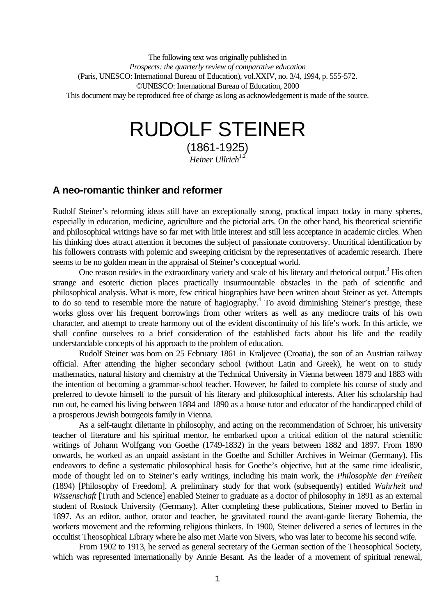The following text was originally published in *Prospects: the quarterly review of comparative education* (Paris, UNESCO: International Bureau of Education), vol.XXIV, no. 3/4, 1994, p. 555-572. ©UNESCO: International Bureau of Education, 2000 This document may be reproduced free of charge as long as acknowledgement is made of the source.

# RUDOLF STEINER (1861-1925)

*Heiner Ullrich*<sup>1,2</sup>

# **A neo-romantic thinker and reformer**

Rudolf Steiner's reforming ideas still have an exceptionally strong, practical impact today in many spheres, especially in education, medicine, agriculture and the pictorial arts. On the other hand, his theoretical scientific and philosophical writings have so far met with little interest and still less acceptance in academic circles. When his thinking does attract attention it becomes the subject of passionate controversy. Uncritical identification by his followers contrasts with polemic and sweeping criticism by the representatives of academic research. There seems to be no golden mean in the appraisal of Steiner's conceptual world.

One reason resides in the extraordinary variety and scale of his literary and rhetorical output.<sup>3</sup> His often strange and esoteric diction places practically insurmountable obstacles in the path of scientific and philosophical analysis. What is more, few critical biographies have been written about Steiner as yet. Attempts to do so tend to resemble more the nature of hagiography.<sup>4</sup> To avoid diminishing Steiner's prestige, these works gloss over his frequent borrowings from other writers as well as any mediocre traits of his own character, and attempt to create harmony out of the evident discontinuity of his life's work. In this article, we shall confine ourselves to a brief consideration of the established facts about his life and the readily understandable concepts of his approach to the problem of education.

Rudolf Steiner was born on 25 February 1861 in Kraljevec (Croatia), the son of an Austrian railway official. After attending the higher secondary school (without Latin and Greek), he went on to study mathematics, natural history and chemistry at the Technical University in Vienna between 1879 and 1883 with the intention of becoming a grammar-school teacher. However, he failed to complete his course of study and preferred to devote himself to the pursuit of his literary and philosophical interests. After his scholarship had run out, he earned his living between 1884 and 1890 as a house tutor and educator of the handicapped child of a prosperous Jewish bourgeois family in Vienna.

As a self-taught dilettante in philosophy, and acting on the recommendation of Schroer, his university teacher of literature and his spiritual mentor, he embarked upon a critical edition of the natural scientific writings of Johann Wolfgang von Goethe (1749-1832) in the years between 1882 and 1897. From 1890 onwards, he worked as an unpaid assistant in the Goethe and Schiller Archives in Weimar (Germany). His endeavors to define a systematic philosophical basis for Goethe's objective, but at the same time idealistic, mode of thought led on to Steiner's early writings, including his main work, the *Philosophie der Freiheit* (1894) [Philosophy of Freedom]. A preliminary study for that work (subsequently) entitled *Wahrheit und Wissenschaft* [Truth and Science] enabled Steiner to graduate as a doctor of philosophy in 1891 as an external student of Rostock University (Germany). After completing these publications, Steiner moved to Berlin in 1897. As an editor, author, orator and teacher, he gravitated round the avant-garde literary Bohemia, the workers movement and the reforming religious thinkers. In 1900, Steiner delivered a series of lectures in the occultist Theosophical Library where he also met Marie von Sivers, who was later to become his second wife.

From 1902 to 1913, he served as general secretary of the German section of the Theosophical Society, which was represented internationally by Annie Besant. As the leader of a movement of spiritual renewal,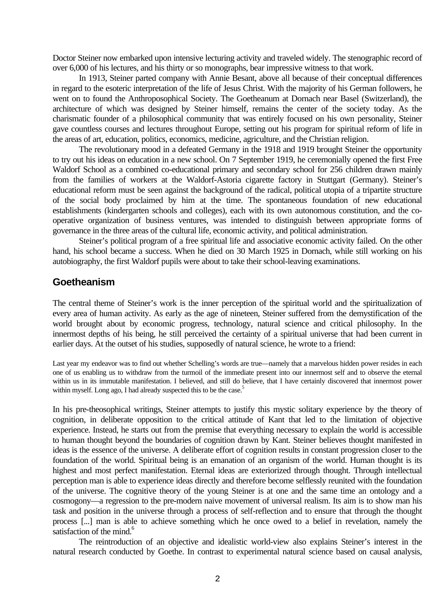Doctor Steiner now embarked upon intensive lecturing activity and traveled widely. The stenographic record of over 6,000 of his lectures, and his thirty or so monographs, bear impressive witness to that work.

In 1913, Steiner parted company with Annie Besant, above all because of their conceptual differences in regard to the esoteric interpretation of the life of Jesus Christ. With the majority of his German followers, he went on to found the Anthroposophical Society. The Goetheanum at Dornach near Basel (Switzerland), the architecture of which was designed by Steiner himself, remains the center of the society today. As the charismatic founder of a philosophical community that was entirely focused on his own personality, Steiner gave countless courses and lectures throughout Europe, setting out his program for spiritual reform of life in the areas of art, education, politics, economics, medicine, agriculture, and the Christian religion.

The revolutionary mood in a defeated Germany in the 1918 and 1919 brought Steiner the opportunity to try out his ideas on education in a new school. On 7 September 1919, he ceremonially opened the first Free Waldorf School as a combined co-educational primary and secondary school for 256 children drawn mainly from the families of workers at the Waldorf-Astoria cigarette factory in Stuttgart (Germany). Steiner's educational reform must be seen against the background of the radical, political utopia of a tripartite structure of the social body proclaimed by him at the time. The spontaneous foundation of new educational establishments (kindergarten schools and colleges), each with its own autonomous constitution, and the cooperative organization of business ventures, was intended to distinguish between appropriate forms of governance in the three areas of the cultural life, economic activity, and political administration.

Steiner's political program of a free spiritual life and associative economic activity failed. On the other hand, his school became a success. When he died on 30 March 1925 in Dornach, while still working on his autobiography, the first Waldorf pupils were about to take their school-leaving examinations.

## **Goetheanism**

The central theme of Steiner's work is the inner perception of the spiritual world and the spiritualization of every area of human activity. As early as the age of nineteen, Steiner suffered from the demystification of the world brought about by economic progress, technology, natural science and critical philosophy. In the innermost depths of his being, he still perceived the certainty of a spiritual universe that had been current in earlier days. At the outset of his studies, supposedly of natural science, he wrote to a friend:

Last year my endeavor was to find out whether Schelling's words are true—namely that a marvelous hidden power resides in each one of us enabling us to withdraw from the turmoil of the immediate present into our innermost self and to observe the eternal within us in its immutable manifestation. I believed, and still do believe, that I have certainly discovered that innermost power within myself. Long ago, I had already suspected this to be the case.<sup>5</sup>

In his pre-theosophical writings, Steiner attempts to justify this mystic solitary experience by the theory of cognition, in deliberate opposition to the critical attitude of Kant that led to the limitation of objective experience. Instead, he starts out from the premise that everything necessary to explain the world is accessible to human thought beyond the boundaries of cognition drawn by Kant. Steiner believes thought manifested in ideas is the essence of the universe. A deliberate effort of cognition results in constant progression closer to the foundation of the world. Spiritual being is an emanation of an organism of the world. Human thought is its highest and most perfect manifestation. Eternal ideas are exteriorized through thought. Through intellectual perception man is able to experience ideas directly and therefore become selflessly reunited with the foundation of the universe. The cognitive theory of the young Steiner is at one and the same time an ontology and a cosmogony—a regression to the pre-modern naive movement of universal realism. Its aim is to show man his task and position in the universe through a process of self-reflection and to ensure that through the thought process [...] man is able to achieve something which he once owed to a belief in revelation, namely the satisfaction of the mind.<sup>6</sup>

The reintroduction of an objective and idealistic world-view also explains Steiner's interest in the natural research conducted by Goethe. In contrast to experimental natural science based on causal analysis,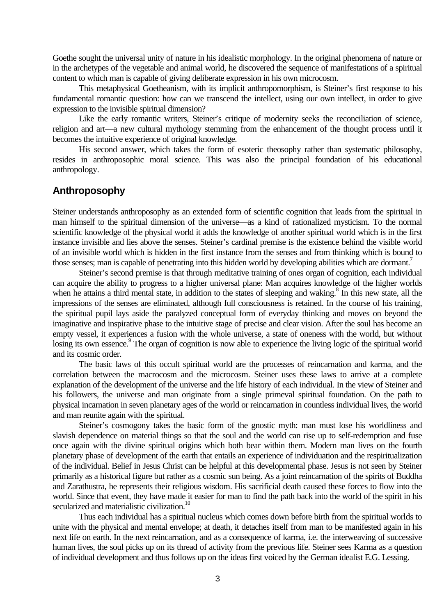Goethe sought the universal unity of nature in his idealistic morphology. In the original phenomena of nature or in the archetypes of the vegetable and animal world, he discovered the sequence of manifestations of a spiritual content to which man is capable of giving deliberate expression in his own microcosm.

This metaphysical Goetheanism, with its implicit anthropomorphism, is Steiner's first response to his fundamental romantic question: how can we transcend the intellect, using our own intellect, in order to give expression to the invisible spiritual dimension?

Like the early romantic writers, Steiner's critique of modernity seeks the reconciliation of science, religion and art—a new cultural mythology stemming from the enhancement of the thought process until it becomes the intuitive experience of original knowledge.

His second answer, which takes the form of esoteric theosophy rather than systematic philosophy, resides in anthroposophic moral science. This was also the principal foundation of his educational anthropology.

# **Anthroposophy**

Steiner understands anthroposophy as an extended form of scientific cognition that leads from the spiritual in man himself to the spiritual dimension of the universe—as a kind of rationalized mysticism. To the normal scientific knowledge of the physical world it adds the knowledge of another spiritual world which is in the first instance invisible and lies above the senses. Steiner's cardinal premise is the existence behind the visible world of an invisible world which is hidden in the first instance from the senses and from thinking which is bound to those senses; man is capable of penetrating into this hidden world by developing abilities which are dormant.<sup>7</sup>

Steiner's second premise is that through meditative training of ones organ of cognition, each individual can acquire the ability to progress to a higher universal plane: Man acquires knowledge of the higher worlds when he attains a third mental state, in addition to the states of sleeping and waking.<sup>8</sup> In this new state, all the impressions of the senses are eliminated, although full consciousness is retained. In the course of his training, the spiritual pupil lays aside the paralyzed conceptual form of everyday thinking and moves on beyond the imaginative and inspirative phase to the intuitive stage of precise and clear vision. After the soul has become an empty vessel, it experiences a fusion with the whole universe, a state of oneness with the world, but without losing its own essence.<sup>9</sup> The organ of cognition is now able to experience the living logic of the spiritual world and its cosmic order.

The basic laws of this occult spiritual world are the processes of reincarnation and karma, and the correlation between the macrocosm and the microcosm. Steiner uses these laws to arrive at a complete explanation of the development of the universe and the life history of each individual. In the view of Steiner and his followers, the universe and man originate from a single primeval spiritual foundation. On the path to physical incarnation in seven planetary ages of the world or reincarnation in countless individual lives, the world and man reunite again with the spiritual.

Steiner's cosmogony takes the basic form of the gnostic myth: man must lose his worldliness and slavish dependence on material things so that the soul and the world can rise up to self-redemption and fuse once again with the divine spiritual origins which both bear within them. Modern man lives on the fourth planetary phase of development of the earth that entails an experience of individuation and the respiritualization of the individual. Belief in Jesus Christ can be helpful at this developmental phase. Jesus is not seen by Steiner primarily as a historical figure but rather as a cosmic sun being. As a joint reincarnation of the spirits of Buddha and Zarathustra, he represents their religious wisdom. His sacrificial death caused these forces to flow into the world. Since that event, they have made it easier for man to find the path back into the world of the spirit in his secularized and materialistic civilization.<sup>10</sup>

Thus each individual has a spiritual nucleus which comes down before birth from the spiritual worlds to unite with the physical and mental envelope; at death, it detaches itself from man to be manifested again in his next life on earth. In the next reincarnation, and as a consequence of karma, i.e. the interweaving of successive human lives, the soul picks up on its thread of activity from the previous life. Steiner sees Karma as a question of individual development and thus follows up on the ideas first voiced by the German idealist E.G. Lessing.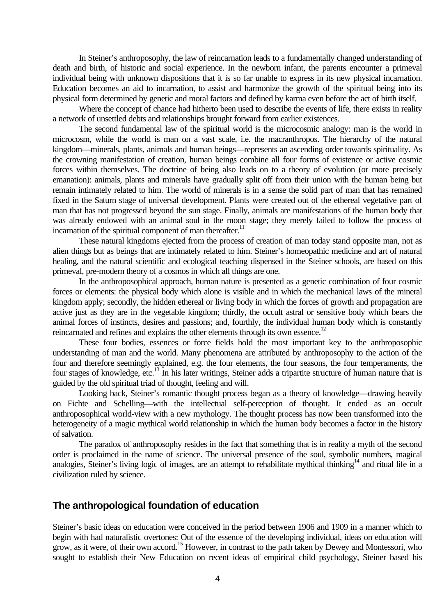In Steiner's anthroposophy, the law of reincarnation leads to a fundamentally changed understanding of death and birth, of historic and social experience. In the newborn infant, the parents encounter a primeval individual being with unknown dispositions that it is so far unable to express in its new physical incarnation. Education becomes an aid to incarnation, to assist and harmonize the growth of the spiritual being into its physical form determined by genetic and moral factors and defined by karma even before the act of birth itself.

Where the concept of chance had hitherto been used to describe the events of life, there exists in reality a network of unsettled debts and relationships brought forward from earlier existences.

The second fundamental law of the spiritual world is the microcosmic analogy: man is the world in microcosm, while the world is man on a vast scale, i.e. the macranthropos. The hierarchy of the natural kingdom—minerals, plants, animals and human beings—represents an ascending order towards spirituality. As the crowning manifestation of creation, human beings combine all four forms of existence or active cosmic forces within themselves. The doctrine of being also leads on to a theory of evolution (or more precisely emanation): animals, plants and minerals have gradually split off from their union with the human being but remain intimately related to him. The world of minerals is in a sense the solid part of man that has remained fixed in the Saturn stage of universal development. Plants were created out of the ethereal vegetative part of man that has not progressed beyond the sun stage. Finally, animals are manifestations of the human body that was already endowed with an animal soul in the moon stage; they merely failed to follow the process of incarnation of the spiritual component of man thereafter.<sup>11</sup>

These natural kingdoms ejected from the process of creation of man today stand opposite man, not as alien things but as beings that are intimately related to him. Steiner's homeopathic medicine and art of natural healing, and the natural scientific and ecological teaching dispensed in the Steiner schools, are based on this primeval, pre-modern theory of a cosmos in which all things are one.

In the anthroposophical approach, human nature is presented as a genetic combination of four cosmic forces or elements: the physical body which alone is visible and in which the mechanical laws of the mineral kingdom apply; secondly, the hidden ethereal or living body in which the forces of growth and propagation are active just as they are in the vegetable kingdom; thirdly, the occult astral or sensitive body which bears the animal forces of instincts, desires and passions; and, fourthly, the individual human body which is constantly reincarnated and refines and explains the other elements through its own essence.<sup>12</sup>

These four bodies, essences or force fields hold the most important key to the anthroposophic understanding of man and the world. Many phenomena are attributed by anthroposophy to the action of the four and therefore seemingly explained, e.g. the four elements, the four seasons, the four temperaments, the four stages of knowledge, etc.<sup>13</sup> In his later writings, Steiner adds a tripartite structure of human nature that is guided by the old spiritual triad of thought, feeling and will.

Looking back, Steiner's romantic thought process began as a theory of knowledge—drawing heavily on Fichte and Schelling—with the intellectual self-perception of thought. It ended as an occult anthroposophical world-view with a new mythology. The thought process has now been transformed into the heterogeneity of a magic mythical world relationship in which the human body becomes a factor in the history of salvation.

The paradox of anthroposophy resides in the fact that something that is in reality a myth of the second order is proclaimed in the name of science. The universal presence of the soul, symbolic numbers, magical analogies, Steiner's living logic of images, are an attempt to rehabilitate mythical thinking<sup>14</sup> and ritual life in a civilization ruled by science.

# **The anthropological foundation of education**

Steiner's basic ideas on education were conceived in the period between 1906 and 1909 in a manner which to begin with had naturalistic overtones: Out of the essence of the developing individual, ideas on education will grow, as it were, of their own accord.<sup>15</sup> However, in contrast to the path taken by Dewey and Montessori, who sought to establish their New Education on recent ideas of empirical child psychology, Steiner based his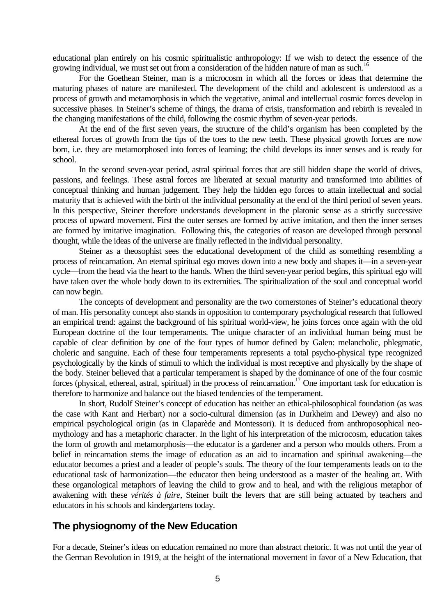educational plan entirely on his cosmic spiritualistic anthropology: If we wish to detect the essence of the growing individual, we must set out from a consideration of the hidden nature of man as such.<sup>16</sup>

For the Goethean Steiner, man is a microcosm in which all the forces or ideas that determine the maturing phases of nature are manifested. The development of the child and adolescent is understood as a process of growth and metamorphosis in which the vegetative, animal and intellectual cosmic forces develop in successive phases. In Steiner's scheme of things, the drama of crisis, transformation and rebirth is revealed in the changing manifestations of the child, following the cosmic rhythm of seven-year periods.

At the end of the first seven years, the structure of the child's organism has been completed by the ethereal forces of growth from the tips of the toes to the new teeth. These physical growth forces are now born, i.e. they are metamorphosed into forces of learning; the child develops its inner senses and is ready for school.

In the second seven-year period, astral spiritual forces that are still hidden shape the world of drives, passions, and feelings. These astral forces are liberated at sexual maturity and transformed into abilities of conceptual thinking and human judgement. They help the hidden ego forces to attain intellectual and social maturity that is achieved with the birth of the individual personality at the end of the third period of seven years. In this perspective, Steiner therefore understands development in the platonic sense as a strictly successive process of upward movement. First the outer senses are formed by active imitation, and then the inner senses are formed by imitative imagination. Following this, the categories of reason are developed through personal thought, while the ideas of the universe are finally reflected in the individual personality.

Steiner as a theosophist sees the educational development of the child as something resembling a process of reincarnation. An eternal spiritual ego moves down into a new body and shapes it—in a seven-year cycle—from the head via the heart to the hands. When the third seven-year period begins, this spiritual ego will have taken over the whole body down to its extremities. The spiritualization of the soul and conceptual world can now begin.

The concepts of development and personality are the two cornerstones of Steiner's educational theory of man. His personality concept also stands in opposition to contemporary psychological research that followed an empirical trend: against the background of his spiritual world-view, he joins forces once again with the old European doctrine of the four temperaments. The unique character of an individual human being must be capable of clear definition by one of the four types of humor defined by Galen: melancholic, phlegmatic, choleric and sanguine. Each of these four temperaments represents a total psycho-physical type recognized psychologically by the kinds of stimuli to which the individual is most receptive and physically by the shape of the body. Steiner believed that a particular temperament is shaped by the dominance of one of the four cosmic forces (physical, ethereal, astral, spiritual) in the process of reincarnation.<sup>17</sup> One important task for education is therefore to harmonize and balance out the biased tendencies of the temperament.

In short, Rudolf Steiner's concept of education has neither an ethical-philosophical foundation (as was the case with Kant and Herbart) nor a socio-cultural dimension (as in Durkheim and Dewey) and also no empirical psychological origin (as in Claparède and Montessori). It is deduced from anthroposophical neomythology and has a metaphoric character. In the light of his interpretation of the microcosm, education takes the form of growth and metamorphosis—the educator is a gardener and a person who moulds others. From a belief in reincarnation stems the image of education as an aid to incarnation and spiritual awakening—the educator becomes a priest and a leader of people's souls. The theory of the four temperaments leads on to the educational task of harmonization—the educator then being understood as a master of the healing art. With these organological metaphors of leaving the child to grow and to heal, and with the religious metaphor of awakening with these *vérités à faire*, Steiner built the levers that are still being actuated by teachers and educators in his schools and kindergartens today.

# **The physiognomy of the New Education**

For a decade, Steiner's ideas on education remained no more than abstract rhetoric. It was not until the year of the German Revolution in 1919, at the height of the international movement in favor of a New Education, that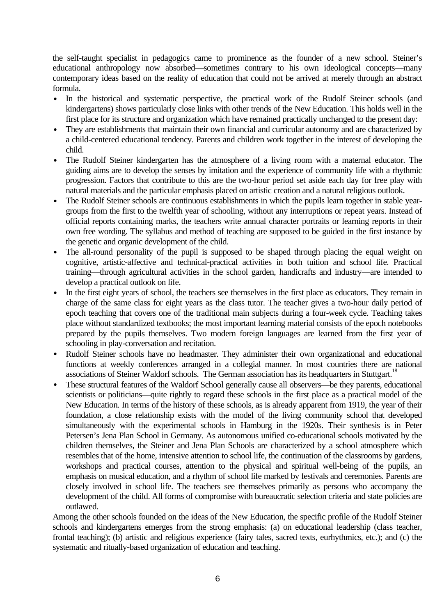the self-taught specialist in pedagogics came to prominence as the founder of a new school. Steiner's educational anthropology now absorbed—sometimes contrary to his own ideological concepts—many contemporary ideas based on the reality of education that could not be arrived at merely through an abstract formula.

- In the historical and systematic perspective, the practical work of the Rudolf Steiner schools (and kindergartens) shows particularly close links with other trends of the New Education. This holds well in the first place for its structure and organization which have remained practically unchanged to the present day:
- They are establishments that maintain their own financial and curricular autonomy and are characterized by a child-centered educational tendency. Parents and children work together in the interest of developing the child.
- The Rudolf Steiner kindergarten has the atmosphere of a living room with a maternal educator. The guiding aims are to develop the senses by imitation and the experience of community life with a rhythmic progression. Factors that contribute to this are the two-hour period set aside each day for free play with natural materials and the particular emphasis placed on artistic creation and a natural religious outlook.
- The Rudolf Steiner schools are continuous establishments in which the pupils learn together in stable yeargroups from the first to the twelfth year of schooling, without any interruptions or repeat years. Instead of official reports containing marks, the teachers write annual character portraits or learning reports in their own free wording. The syllabus and method of teaching are supposed to be guided in the first instance by the genetic and organic development of the child.
- The all-round personality of the pupil is supposed to be shaped through placing the equal weight on cognitive, artistic-affective and technical-practical activities in both tuition and school life. Practical training—through agricultural activities in the school garden, handicrafts and industry—are intended to develop a practical outlook on life.
- In the first eight years of school, the teachers see themselves in the first place as educators. They remain in charge of the same class for eight years as the class tutor. The teacher gives a two-hour daily period of epoch teaching that covers one of the traditional main subjects during a four-week cycle. Teaching takes place without standardized textbooks; the most important learning material consists of the epoch notebooks prepared by the pupils themselves. Two modern foreign languages are learned from the first year of schooling in play-conversation and recitation.
- Rudolf Steiner schools have no headmaster. They administer their own organizational and educational functions at weekly conferences arranged in a collegial manner. In most countries there are national associations of Steiner Waldorf schools. The German association has its headquarters in Stuttgart.<sup>18</sup>
- These structural features of the Waldorf School generally cause all observers—be they parents, educational scientists or politicians—quite rightly to regard these schools in the first place as a practical model of the New Education. In terms of the history of these schools, as is already apparent from 1919, the year of their foundation, a close relationship exists with the model of the living community school that developed simultaneously with the experimental schools in Hamburg in the 1920s. Their synthesis is in Peter Petersen's Jena Plan School in Germany. As autonomous unified co-educational schools motivated by the children themselves, the Steiner and Jena Plan Schools are characterized by a school atmosphere which resembles that of the home, intensive attention to school life, the continuation of the classrooms by gardens, workshops and practical courses, attention to the physical and spiritual well-being of the pupils, an emphasis on musical education, and a rhythm of school life marked by festivals and ceremonies. Parents are closely involved in school life. The teachers see themselves primarily as persons who accompany the development of the child. All forms of compromise with bureaucratic selection criteria and state policies are outlawed.

Among the other schools founded on the ideas of the New Education, the specific profile of the Rudolf Steiner schools and kindergartens emerges from the strong emphasis: (a) on educational leadership (class teacher, frontal teaching); (b) artistic and religious experience (fairy tales, sacred texts, eurhythmics, etc.); and (c) the systematic and ritually-based organization of education and teaching.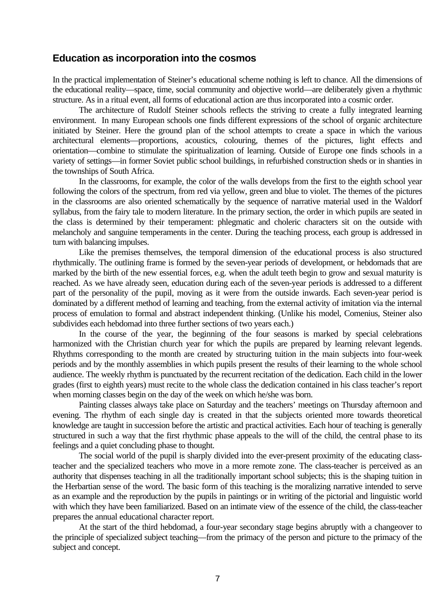## **Education as incorporation into the cosmos**

In the practical implementation of Steiner's educational scheme nothing is left to chance. All the dimensions of the educational reality—space, time, social community and objective world—are deliberately given a rhythmic structure. As in a ritual event, all forms of educational action are thus incorporated into a cosmic order.

The architecture of Rudolf Steiner schools reflects the striving to create a fully integrated learning environment. In many European schools one finds different expressions of the school of organic architecture initiated by Steiner. Here the ground plan of the school attempts to create a space in which the various architectural elements—proportions, acoustics, colouring, themes of the pictures, light effects and orientation—combine to stimulate the spiritualization of learning. Outside of Europe one finds schools in a variety of settings—in former Soviet public school buildings, in refurbished construction sheds or in shanties in the townships of South Africa.

In the classrooms, for example, the color of the walls develops from the first to the eighth school year following the colors of the spectrum, from red via yellow, green and blue to violet. The themes of the pictures in the classrooms are also oriented schematically by the sequence of narrative material used in the Waldorf syllabus, from the fairy tale to modern literature. In the primary section, the order in which pupils are seated in the class is determined by their temperament: phlegmatic and choleric characters sit on the outside with melancholy and sanguine temperaments in the center. During the teaching process, each group is addressed in turn with balancing impulses.

Like the premises themselves, the temporal dimension of the educational process is also structured rhythmically. The outlining frame is formed by the seven-year periods of development, or hebdomads that are marked by the birth of the new essential forces, e.g. when the adult teeth begin to grow and sexual maturity is reached. As we have already seen, education during each of the seven-year periods is addressed to a different part of the personality of the pupil, moving as it were from the outside inwards. Each seven-year period is dominated by a different method of learning and teaching, from the external activity of imitation via the internal process of emulation to formal and abstract independent thinking. (Unlike his model, Comenius, Steiner also subdivides each hebdomad into three further sections of two years each.)

In the course of the year, the beginning of the four seasons is marked by special celebrations harmonized with the Christian church year for which the pupils are prepared by learning relevant legends. Rhythms corresponding to the month are created by structuring tuition in the main subjects into four-week periods and by the monthly assemblies in which pupils present the results of their learning to the whole school audience. The weekly rhythm is punctuated by the recurrent recitation of the dedication. Each child in the lower grades (first to eighth years) must recite to the whole class the dedication contained in his class teacher's report when morning classes begin on the day of the week on which he/she was born.

Painting classes always take place on Saturday and the teachers' meetings on Thursday afternoon and evening. The rhythm of each single day is created in that the subjects oriented more towards theoretical knowledge are taught in succession before the artistic and practical activities. Each hour of teaching is generally structured in such a way that the first rhythmic phase appeals to the will of the child, the central phase to its feelings and a quiet concluding phase to thought.

The social world of the pupil is sharply divided into the ever-present proximity of the educating classteacher and the specialized teachers who move in a more remote zone. The class-teacher is perceived as an authority that dispenses teaching in all the traditionally important school subjects; this is the shaping tuition in the Herbartian sense of the word. The basic form of this teaching is the moralizing narrative intended to serve as an example and the reproduction by the pupils in paintings or in writing of the pictorial and linguistic world with which they have been familiarized. Based on an intimate view of the essence of the child, the class-teacher prepares the annual educational character report.

At the start of the third hebdomad, a four-year secondary stage begins abruptly with a changeover to the principle of specialized subject teaching—from the primacy of the person and picture to the primacy of the subject and concept.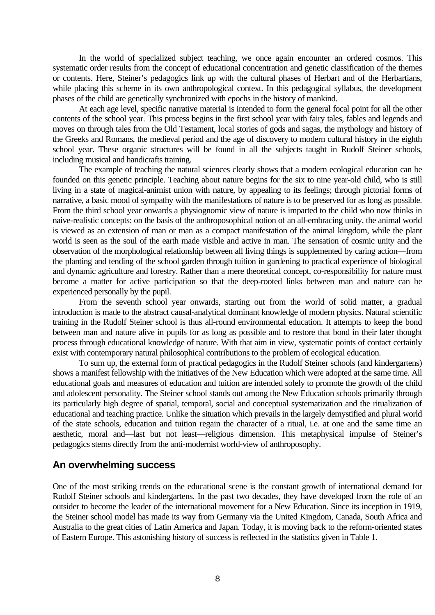In the world of specialized subject teaching, we once again encounter an ordered cosmos. This systematic order results from the concept of educational concentration and genetic classification of the themes or contents. Here, Steiner's pedagogics link up with the cultural phases of Herbart and of the Herbartians, while placing this scheme in its own anthropological context. In this pedagogical syllabus, the development phases of the child are genetically synchronized with epochs in the history of mankind.

At each age level, specific narrative material is intended to form the general focal point for all the other contents of the school year. This process begins in the first school year with fairy tales, fables and legends and moves on through tales from the Old Testament, local stories of gods and sagas, the mythology and history of the Greeks and Romans, the medieval period and the age of discovery to modern cultural history in the eighth school year. These organic structures will be found in all the subjects taught in Rudolf Steiner schools, including musical and handicrafts training.

The example of teaching the natural sciences clearly shows that a modern ecological education can be founded on this genetic principle. Teaching about nature begins for the six to nine year-old child, who is still living in a state of magical-animist union with nature, by appealing to its feelings; through pictorial forms of narrative, a basic mood of sympathy with the manifestations of nature is to be preserved for as long as possible. From the third school year onwards a physiognomic view of nature is imparted to the child who now thinks in naive-realistic concepts: on the basis of the anthroposophical notion of an all-embracing unity, the animal world is viewed as an extension of man or man as a compact manifestation of the animal kingdom, while the plant world is seen as the soul of the earth made visible and active in man. The sensation of cosmic unity and the observation of the morphological relationship between all living things is supplemented by caring action—from the planting and tending of the school garden through tuition in gardening to practical experience of biological and dynamic agriculture and forestry. Rather than a mere theoretical concept, co-responsibility for nature must become a matter for active participation so that the deep-rooted links between man and nature can be experienced personally by the pupil.

From the seventh school year onwards, starting out from the world of solid matter, a gradual introduction is made to the abstract causal-analytical dominant knowledge of modern physics. Natural scientific training in the Rudolf Steiner school is thus all-round environmental education. It attempts to keep the bond between man and nature alive in pupils for as long as possible and to restore that bond in their later thought process through educational knowledge of nature. With that aim in view, systematic points of contact certainly exist with contemporary natural philosophical contributions to the problem of ecological education.

To sum up, the external form of practical pedagogics in the Rudolf Steiner schools (and kindergartens) shows a manifest fellowship with the initiatives of the New Education which were adopted at the same time. All educational goals and measures of education and tuition are intended solely to promote the growth of the child and adolescent personality. The Steiner school stands out among the New Education schools primarily through its particularly high degree of spatial, temporal, social and conceptual systematization and the ritualization of educational and teaching practice. Unlike the situation which prevails in the largely demystified and plural world of the state schools, education and tuition regain the character of a ritual, i.e. at one and the same time an aesthetic, moral and—last but not least—religious dimension. This metaphysical impulse of Steiner's pedagogics stems directly from the anti-modernist world-view of anthroposophy.

# **An overwhelming success**

One of the most striking trends on the educational scene is the constant growth of international demand for Rudolf Steiner schools and kindergartens. In the past two decades, they have developed from the role of an outsider to become the leader of the international movement for a New Education. Since its inception in 1919, the Steiner school model has made its way from Germany via the United Kingdom, Canada, South Africa and Australia to the great cities of Latin America and Japan. Today, it is moving back to the reform-oriented states of Eastern Europe. This astonishing history of success is reflected in the statistics given in Table 1.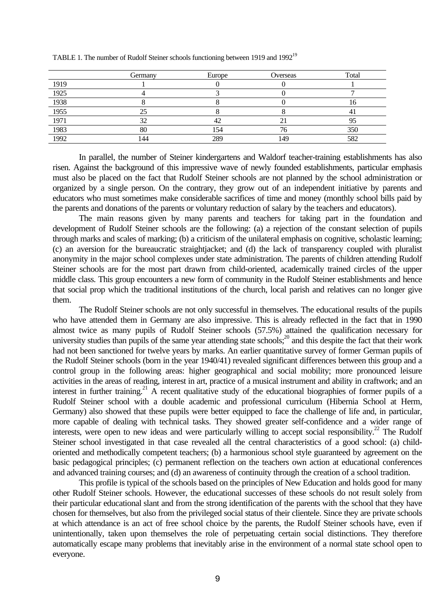|      | Germany | Europe | Overseas | Total |
|------|---------|--------|----------|-------|
| 1919 |         |        |          |       |
| 1925 |         |        |          |       |
| 1938 |         |        |          | 16    |
| 1955 |         |        |          | 4 I   |
| 1971 | 32      | 42     | ∠        | 95    |
| 1983 | 80      | 54ء    | 76       | 350   |
| 1992 | 144     | 289    | 149      | 582   |

TABLE 1. The number of Rudolf Steiner schools functioning between 1919 and 1992<sup>19</sup>

In parallel, the number of Steiner kindergartens and Waldorf teacher-training establishments has also risen. Against the background of this impressive wave of newly founded establishments, particular emphasis must also be placed on the fact that Rudolf Steiner schools are not planned by the school administration or organized by a single person. On the contrary, they grow out of an independent initiative by parents and educators who must sometimes make considerable sacrifices of time and money (monthly school bills paid by the parents and donations of the parents or voluntary reduction of salary by the teachers and educators).

The main reasons given by many parents and teachers for taking part in the foundation and development of Rudolf Steiner schools are the following: (a) a rejection of the constant selection of pupils through marks and scales of marking; (b) a criticism of the unilateral emphasis on cognitive, scholastic learning; (c) an aversion for the bureaucratic straightjacket; and (d) the lack of transparency coupled with pluralist anonymity in the major school complexes under state administration. The parents of children attending Rudolf Steiner schools are for the most part drawn from child-oriented, academically trained circles of the upper middle class. This group encounters a new form of community in the Rudolf Steiner establishments and hence that social prop which the traditional institutions of the church, local parish and relatives can no longer give them.

The Rudolf Steiner schools are not only successful in themselves. The educational results of the pupils who have attended them in Germany are also impressive. This is already reflected in the fact that in 1990 almost twice as many pupils of Rudolf Steiner schools (57.5%) attained the qualification necessary for university studies than pupils of the same year attending state schools;<sup>20</sup> and this despite the fact that their work had not been sanctioned for twelve years by marks. An earlier quantitative survey of former German pupils of the Rudolf Steiner schools (born in the year 1940/41) revealed significant differences between this group and a control group in the following areas: higher geographical and social mobility; more pronounced leisure activities in the areas of reading, interest in art, practice of a musical instrument and ability in craftwork; and an interest in further training.<sup>21</sup> A recent qualitative study of the educational biographies of former pupils of a Rudolf Steiner school with a double academic and professional curriculum (Hibernia School at Herm, Germany) also showed that these pupils were better equipped to face the challenge of life and, in particular, more capable of dealing with technical tasks. They showed greater self-confidence and a wider range of interests, were open to new ideas and were particularly willing to accept social responsibility.<sup>22</sup> The Rudolf Steiner school investigated in that case revealed all the central characteristics of a good school: (a) childoriented and methodically competent teachers; (b) a harmonious school style guaranteed by agreement on the basic pedagogical principles; (c) permanent reflection on the teachers own action at educational conferences and advanced training courses; and (d) an awareness of continuity through the creation of a school tradition.

This profile is typical of the schools based on the principles of New Education and holds good for many other Rudolf Steiner schools. However, the educational successes of these schools do not result solely from their particular educational slant and from the strong identification of the parents with the school that they have chosen for themselves, but also from the privileged social status of their clientele. Since they are private schools at which attendance is an act of free school choice by the parents, the Rudolf Steiner schools have, even if unintentionally, taken upon themselves the role of perpetuating certain social distinctions. They therefore automatically escape many problems that inevitably arise in the environment of a normal state school open to everyone.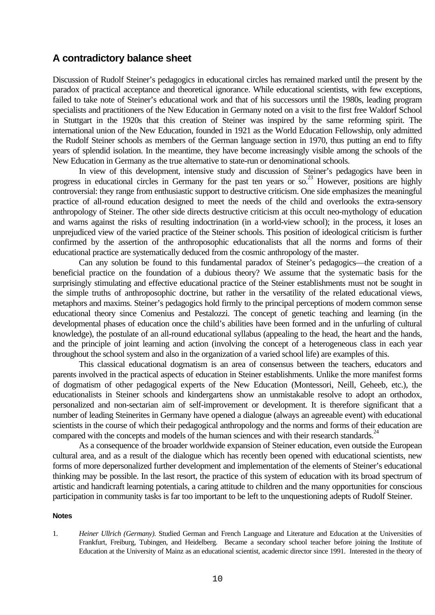# **A contradictory balance sheet**

Discussion of Rudolf Steiner's pedagogics in educational circles has remained marked until the present by the paradox of practical acceptance and theoretical ignorance. While educational scientists, with few exceptions, failed to take note of Steiner's educational work and that of his successors until the 1980s, leading program specialists and practitioners of the New Education in Germany noted on a visit to the first free Waldorf School in Stuttgart in the 1920s that this creation of Steiner was inspired by the same reforming spirit. The international union of the New Education, founded in 1921 as the World Education Fellowship, only admitted the Rudolf Steiner schools as members of the German language section in 1970, thus putting an end to fifty years of splendid isolation. In the meantime, they have become increasingly visible among the schools of the New Education in Germany as the true alternative to state-run or denominational schools.

In view of this development, intensive study and discussion of Steiner's pedagogics have been in progress in educational circles in Germany for the past ten years or so.<sup>23</sup> However, positions are highly controversial: they range from enthusiastic support to destructive criticism. One side emphasizes the meaningful practice of all-round education designed to meet the needs of the child and overlooks the extra-sensory anthropology of Steiner. The other side directs destructive criticism at this occult neo-mythology of education and warns against the risks of resulting indoctrination (in a world-view school); in the process, it loses an unprejudiced view of the varied practice of the Steiner schools. This position of ideological criticism is further confirmed by the assertion of the anthroposophic educationalists that all the norms and forms of their educational practice are systematically deduced from the cosmic anthropology of the master.

Can any solution be found to this fundamental paradox of Steiner's pedagogics—the creation of a beneficial practice on the foundation of a dubious theory? We assume that the systematic basis for the surprisingly stimulating and effective educational practice of the Steiner establishments must not be sought in the simple truths of anthroposophic doctrine, but rather in the versatility of the related educational views, metaphors and maxims. Steiner's pedagogics hold firmly to the principal perceptions of modern common sense educational theory since Comenius and Pestalozzi. The concept of genetic teaching and learning (in the developmental phases of education once the child's abilities have been formed and in the unfurling of cultural knowledge), the postulate of an all-round educational syllabus (appealing to the head, the heart and the hands, and the principle of joint learning and action (involving the concept of a heterogeneous class in each year throughout the school system and also in the organization of a varied school life) are examples of this.

This classical educational dogmatism is an area of consensus between the teachers, educators and parents involved in the practical aspects of education in Steiner establishments. Unlike the more manifest forms of dogmatism of other pedagogical experts of the New Education (Montessori, Neill, Geheeb, etc.), the educationalists in Steiner schools and kindergartens show an unmistakable resolve to adopt an orthodox, personalized and non-sectarian aim of self-improvement or development. It is therefore significant that a number of leading Steinerites in Germany have opened a dialogue (always an agreeable event) with educational scientists in the course of which their pedagogical anthropology and the norms and forms of their education are compared with the concepts and models of the human sciences and with their research standards.<sup>24</sup>

As a consequence of the broader worldwide expansion of Steiner education, even outside the European cultural area, and as a result of the dialogue which has recently been opened with educational scientists, new forms of more depersonalized further development and implementation of the elements of Steiner's educational thinking may be possible. In the last resort, the practice of this system of education with its broad spectrum of artistic and handicraft learning potentials, a caring attitude to children and the many opportunities for conscious participation in community tasks is far too important to be left to the unquestioning adepts of Rudolf Steiner.

#### **Notes**

1. *Heiner Ullrich (Germany).* Studied German and French Language and Literature and Education at the Universities of Frankfurt, Freiburg, Tubingen, and Heidelberg. Became a secondary school teacher before joining the Institute of Education at the University of Mainz as an educational scientist, academic director since 1991. Interested in the theory of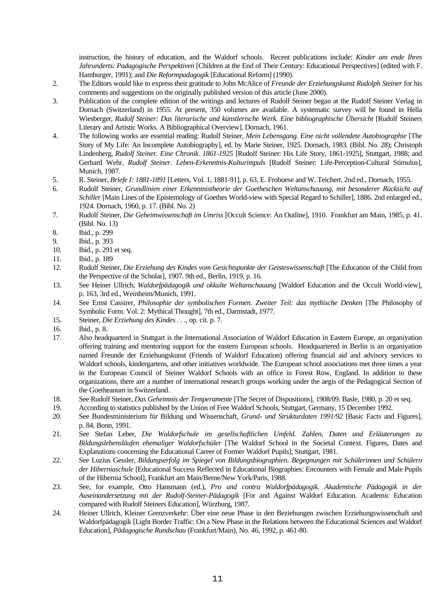instruction, the history of education, and the Waldorf schools. Recent publications include: *Kinder am ende Ihres Jahrunderts: Padagogische Perspektiven* [Children at the End of Their Century: Educational Perspectives] (edited with F. Hamburger, 1991); and *Die Reformpadagogik* [Educational Reform] (1990).

- 2. The Editors would like to express their gratitude to John McAlice of *Freunde der Erziehungskunst Rudolph Steiner* for his comments and suggestions on the originally published version of this article (June 2000).
- 3. Publication of the complete edition of the writings and lectures of Rudolf Steiner began at the Rudolf Steiner Verlag in Dornach (Switzerland) in 1955. At present, 350 volumes are available. A systematic survey will be found in Hella Wiesberger, *Rudolf Steiner: Das literarische und künstlerische Werk. Eine bibliographische Übersicht* [Rudolf Steiners Literary and Artistic Works. A Bibliographical Overview]. Dornach, 1961.
- 4. The following works are essential reading: Rudolf Steiner, *Mein Lebensgang. Eine nicht vollendete Autobiographie* [The Story of My Life: An Incomplete Autobiography], ed. by Marie Steiner, 1925. Dornach, 1983. (Bibl. No. 28); Christoph Lindenberg, *Rudolf Steiner. Eine Chronik. 1861-1925* [Rudolf Steiner: His Life Story, 1861-1925], Stuttgart, 1988; and Gerhard Wehr, *Rudolf Steiner. Leben-Erkenntnis-Kulturimpuls* [Rudolf Steiner: Life-Perception-Cultural Stimulus], Munich, 1987.
- 5. R. Steiner, *Briefe I: 1881-1891* [Letters, Vol. 1, 1881-91], p. 63, E. Froboese and W. Teichert, 2nd ed., Dornach, 1955.
- 6. Rudolf Steiner, *Grundlinien einer Erkenntnistheorie der Goetheschen Weltanschauung, mit besonderer Rücksicht auf Schiller* [Main Lines of the Epistemology of Goethes World-view with Special Regard to Schiller], 1886. 2nd enlarged ed., 1924. Dornach, 1960, p. 17. (Bibl. No. 2)
- 7. Rudolf Steiner, *Die Geheimwissenschaft im Umriss* [Occult Science: An Outline], 1910. Frankfurt am Main, 1985, p. 41. (Bibl. No. 13)
- 8. Ibid., p. 299
- 9. Ibid., p. 393
- 10. Ibid., p. 291 et seq.
- 11. Ibid., p. 189
- 12. Rudolf Steiner, *Die Erziehung des Kindes vom Gesichtspunkte der Geisteswissenschaft* [The Education of the Child from the Perspective of the Scholar], 1907. 9th ed., Berlin, 1919, p. 16.
- 13. See Heiner Ullrich, *Waldorfpädagogik und okkulte Weltanschauung* [Waldorf Education and the Occult World-view], p. 163, 3rd ed., Weinheim/Munich, 1991.
- 14. See Ernst Cassirer, *Philosophie der symbolischen Formen. Zweiter Teil: das mythische Denken* [The Philosophy of Symbolic Form. Vol. 2: Mythical Thought], 7th ed., Darmstadt, 1977.
- 15. Steiner, *Die Erziehung des Kindes* . . ., op. cit. p. 7.
- 16. Ibid., p. 8.
- 17. Also headquarterd in Stuttgart is the International Association of Waldorf Education in Eastern Europe, an organiyation offering training and mentoring support for the eastern European schools. Headquartered in Berlin is an organiyation named Freunde der Erziehungskunst (Friends of Waldorf Education) offering financial aid and advisory services to Waldorf schools, kindergartens, and other initiatives worldwide. The European school associations met three times a year in the European Council of Steiner Waldorf Schools with an office in Forest Row, England. In addition to these organizations, there are a number of international research groups working under the aegis of the Pedagogical Section of the Goetheanum in Switzerland.
- 18. See Rudolf Steiner, *Das Geheimnis der Temperamente* [The Secret of Dispositions], 1908/09. Basle, 1980, p. 20 et seq.
- 19. According to statistics published by the Union of Free Waldorf Schools, Stuttgart, Germany, 15 December 1992.
- 20. See Bundesministerium für Bildung und Wissenschaft, *Grund- und Strukturdaten 1991/92* [Basic Facts and Figures], p. 84, Bonn, 1991.
- 21. See Stefan Leber, *Die Waldorfschule im gesellschaftlichen Umfeld. Zahlen, Daten und Erläuterungen zu Bildungslebensläufen ehemaliger Waldorfschüler* [The Waldorf School in the Societal Context. Figures, Dates and Explanations concerning the Educational Career of Former Waldorf Pupils], Stuttgart, 1981.
- 22. See Luzius Gessler, *Bildungserfolg im Spiegel von Bildungsbiographien. Begegnungen mit Schülerinnen und Schülern der Hiberniaschule* [Educational Success Reflected in Educational Biographies: Encounters with Female and Male Pupils of the Hibernia School], Frankfurt am Main/Berne/New York/Paris, 1988.
- 23. See, for example, Otto Hansmann (ed.), *Pro und contra Waldorfpädagogik. Akademische Pädagogik in der Auseinandersetzung mit der Rudolf-Steiner-Pädagogik* [For and Against Waldorf Education. Academic Education compared with Rudolf Steiners Education], Würzburg, 1987.
- 24. Heiner Ullrich, Kleiner Grenzverkehr: Über eine neue Phase in den Beziehungen zwischen Erziehungswissenchaft und Waldorfpädagogik [Light Border Traffic: On a New Phase in the Relations between the Educational Sciences and Waldorf Education], *Pädagogische Rundschau* (Frankfurt/Main), No. 46, 1992, p. 461-80.